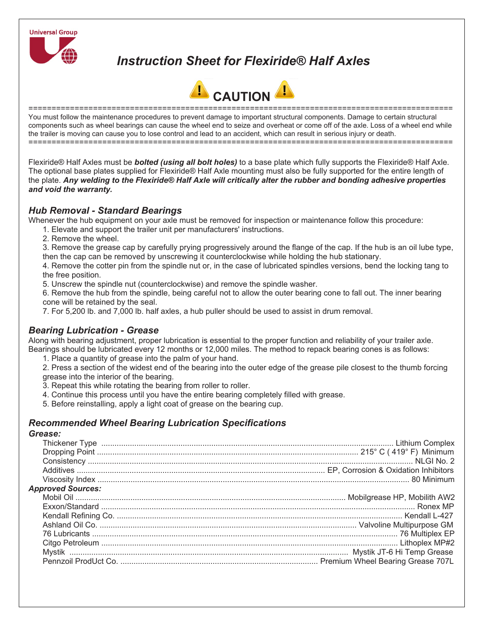

# *Instruction Sheet for Flexiride® Half Axles*



============================================================================================ You must follow the maintenance procedures to prevent damage to important structural components. Damage to certain structural components such as wheel bearings can cause the wheel end to seize and overheat or come off of the axle. Loss of a wheel end while the trailer is moving can cause you to lose control and lead to an accident, which can result in serious injury or death. ============================================================================================

Flexiride® Half Axles must be *bolted (using all bolt holes)* to a base plate which fully supports the Flexiride® Half Axle. The optional base plates supplied for Flexiride® Half Axle mounting must also be fully supported for the entire length of the plate. *Any welding to the Flexiride® Half Axle will critically alter the rubber and bonding adhesive properties and void the warranty.* 

## *Hub Removal - Standard Bearings*

Whenever the hub equipment on your axle must be removed for inspection or maintenance follow this procedure:

- 1. Elevate and support the trailer unit per manufacturers' instructions.
	- 2. Remove the wheel.

3. Remove the grease cap by carefully prying progressively around the flange of the cap. If the hub is an oil lube type, then the cap can be removed by unscrewing it counterclockwise while holding the hub stationary.

4. Remove the cotter pin from the spindle nut or, in the case of lubricated spindles versions, bend the locking tang to the free position.

5. Unscrew the spindle nut (counterclockwise) and remove the spindle washer.

6. Remove the hub from the spindle, being careful not to allow the outer bearing cone to fall out. The inner bearing cone will be retained by the seal.

7. For 5,200 lb. and 7,000 lb. half axles, a hub puller should be used to assist in drum removal.

## *Bearing Lubrication - Grease*

Along with bearing adjustment, proper lubrication is essential to the proper function and reliability of your trailer axle. Bearings should be lubricated every 12 months or 12,000 miles. The method to repack bearing cones is as follows:

1. Place a quantity of grease into the palm of your hand.

2. Press a section of the widest end of the bearing into the outer edge of the grease pile closest to the thumb forcing grease into the interior of the bearing.

- 3. Repeat this while rotating the bearing from roller to roller.
- 4. Continue this process until you have the entire bearing completely filled with grease.
- 5. Before reinstalling, apply a light coat of grease on the bearing cup.

# *Recommended Wheel Bearing Lubrication Specifications*

#### *Grease:*

| <b>Approved Sources:</b> |  |
|--------------------------|--|
|                          |  |
|                          |  |
|                          |  |
|                          |  |
|                          |  |
|                          |  |
|                          |  |
|                          |  |